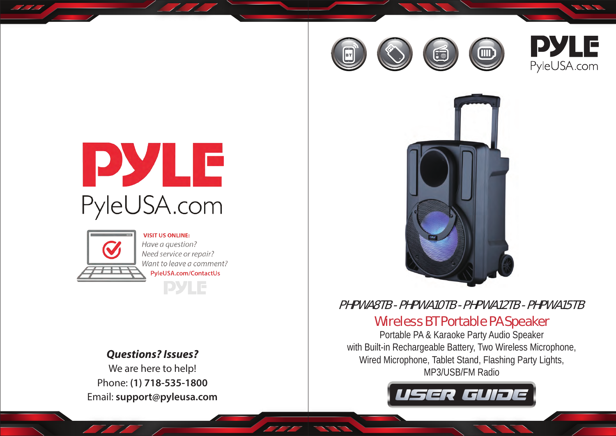



Sec. 18



# PHPWA8TB - PHPWA10TB - PHPWA12TB - PHPWA15TB

## Wireless BT Portable PA Speaker

Portable PA & Karaoke Party Audio Speaker with Built-in Rechargeable Battery, Two Wireless Microphone, Wired Microphone, Tablet Stand, Flashing Party Lights, MP3/USB/FM Radio







<u>NN</u>

**VISIT US ONLINE:** Have a question? Need service or repair? Want to leave a comment? PyleUSA.com/ContactUs **PYLE** 

### *Questions? Issues?*

We are here to help! Phone: **(1) 718-535-1800** Email: **support@pyleusa.com**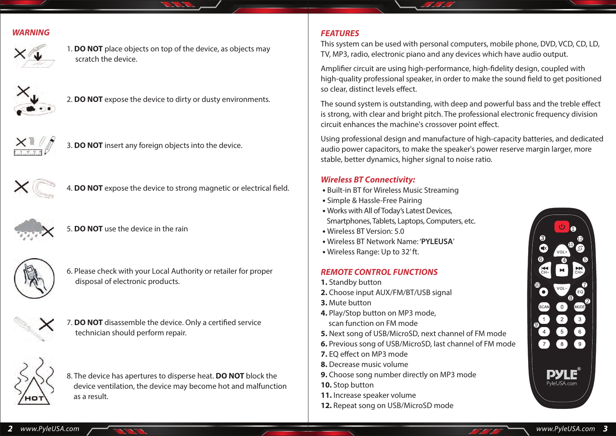#### *WARNING*



1. **DO NOT** place objects on top of the device, as objects may scratch the device.



2. **DO NOT** expose the device to dirty or dusty environments.



3. **DO NOT** insert any foreign objects into the device.



4. **DO NOT** expose the device to strong magnetic or electrical field.



5. **DO NOT** use the device in the rain



6. Please check with your Local Authority or retailer for proper disposaI of electronic products.



7. **DO NOT** disassemble the device. Only a certified service technician should perform repair.



8. The device has apertures to disperse heat. **DO NOT** block the device ventilation, the device may become hot and malfunction as a result.

#### *FEATURES*

This system can be used with personal computers, mobile phone, DVD, VCD, CD, LD, TV, MP3, radio, electronic piano and any devices which have audio output.

Amplifier circuit are using high-performance, high-fidelity design, coupled with high-quality professional speaker, in order to make the sound field to get positioned so clear, distinct levels effect.

The sound system is outstanding, with deep and powerful bass and the treble effect is strong, with clear and bright pitch. The professional electronic frequency division circuit enhances the machine's crossover point effect.

Using professional design and manufacture of high-capacity batteries, and dedicated audio power capacitors, to make the speaker's power reserve margin larger, more stable, better dynamics, higher signal to noise ratio.

#### *Wireless BT Connectivity:*

- Built-in BT for Wireless Music Streaming
- Simple & Hassle-Free Pairing
- Works with All of Today's Latest Devices, Smartphones, Tablets, Laptops, Computers, etc.
- Wireless BT Version: 5.0
- Wireless BT Network Name: '**PYLEUSA**'
- Wireless Range: Up to 32' ft.

#### *REMOTE CONTROL FUNCTIONS*

- **1.** Standby button
- **2.** Choose input AUX/FM/BT/USB signal
- **3.** Mute button
- **4.** Play/Stop button on MP3 mode, scan function on FM mode
- **5.** Next song of USB/MicroSD, next channel of FM mode
- **6.** Previous song of USB/MicroSD, last channel of FM mode
- **7.** EQ effect on MP3 mode
- **8.** Decrease music volume
- **9.** Choose song number directly on MP3 mode
- **10.** Stop button
- **11.** Increase speaker volume
- **12.** Repeat song on USB/MicroSD mode